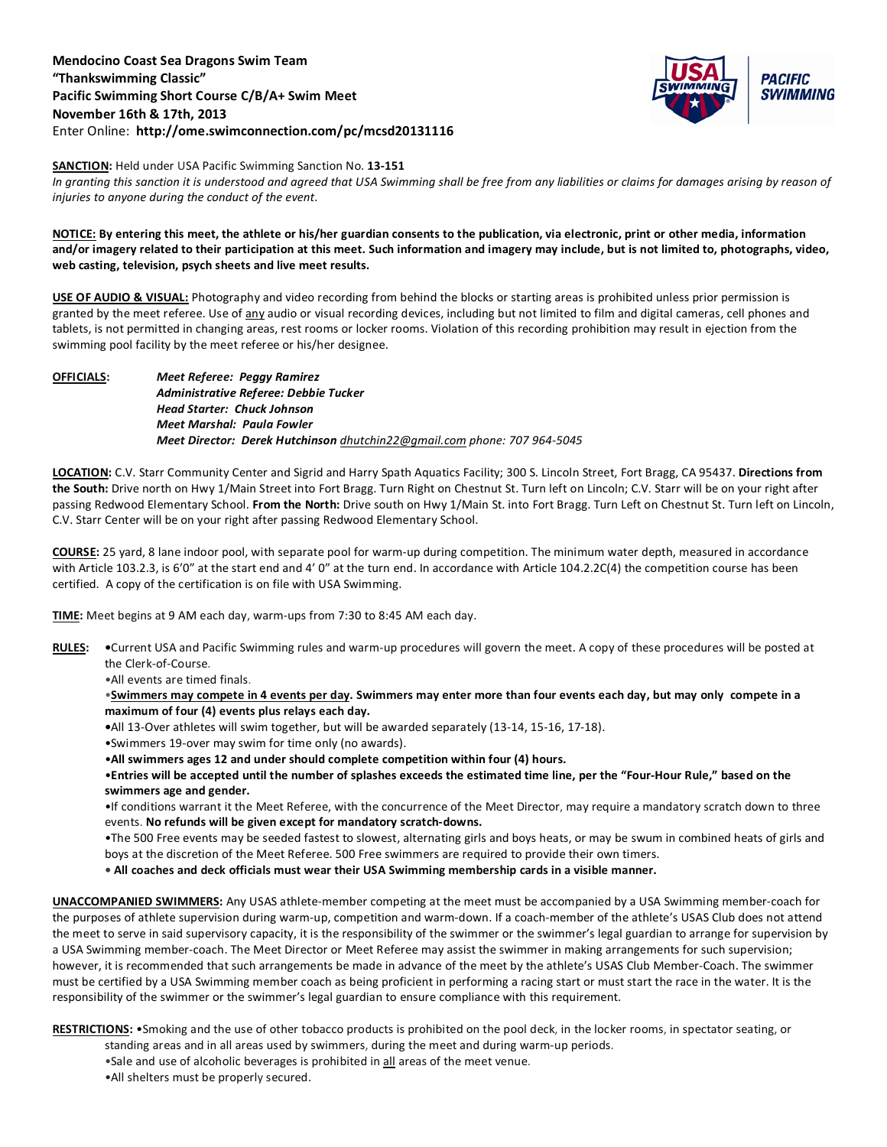## **Mendocino Coast Sea Dragons Swim Team "Thankswimming Classic" Pacific Swimming Short Course C/B/A+ Swim Meet November 16th & 17th, 2013** Enter Online: **http://ome.swimconnection.com/pc/mcsd20131116**



## **SANCTION:** Held under USA Pacific Swimming Sanction No. **13-151**

In granting this sanction it is understood and agreed that USA Swimming shall be free from any liabilities or claims for damages arising by reason of *injuries to anyone during the conduct of the event.*

## **NOTICE: By entering this meet, the athlete or his/her guardian consents to the publication, via electronic, print or other media, information and/or imagery related to their participation at this meet. Such information and imagery may include, but is not limited to, photographs, video, web casting, television, psych sheets and live meet results.**

**USE OF AUDIO & VISUAL:** Photography and video recording from behind the blocks or starting areas is prohibited unless prior permission is granted by the meet referee. Use of any audio or visual recording devices, including but not limited to film and digital cameras, cell phones and tablets, is not permitted in changing areas, rest rooms or locker rooms. Violation of this recording prohibition may result in ejection from the swimming pool facility by the meet referee or his/her designee.

**OFFICIALS:** *Meet Referee: Peggy Ramirez Administrative Referee: Debbie Tucker Head Starter: Chuck Johnson Meet Marshal: Paula Fowler Meet Director: Derek Hutchinson [dhutchin22@gmail.com](mailto:dhutchin22@gmail.com) phone: 707 964-5045*

**LOCATION:** C.V. Starr Community Center and Sigrid and Harry Spath Aquatics Facility; 300 S. Lincoln Street, Fort Bragg, CA 95437. **Directions from the South:** Drive north on Hwy 1/Main Street into Fort Bragg. Turn Right on Chestnut St. Turn left on Lincoln; C.V. Starr will be on your right after passing Redwood Elementary School. **From the North:** Drive south on Hwy 1/Main St. into Fort Bragg. Turn Left on Chestnut St. Turn left on Lincoln, C.V. Starr Center will be on your right after passing Redwood Elementary School.

**COURSE:** 25 yard, 8 lane indoor pool, with separate pool for warm-up during competition. The minimum water depth, measured in accordance with Article 103.2.3, is 6'0" at the start end and 4' 0" at the turn end. In accordance with Article 104.2.2C(4) the competition course has been certified. A copy of the certification is on file with USA Swimming.

**TIME:** Meet begins at 9 AM each day, warm-ups from 7:30 to 8:45 AM each day.

- **RULES: •**Current USA and Pacific Swimming rules and warm-up procedures will govern the meet. A copy of these procedures will be posted at the Clerk-of-Course.
	- •All events are timed finals.

•**Swimmers may compete in 4 events per day. Swimmers may enter more than four events each day, but may only compete in a maximum of four (4) events plus relays each day.**

- **•**All 13-Over athletes will swim together, but will be awarded separately (13-14, 15-16, 17-18).
- •Swimmers 19-over may swim for time only (no awards).
- •**All swimmers ages 12 and under should complete competition within four (4) hours.**

•**Entries will be accepted until the number of splashes exceeds the estimated time line, per the "Four-Hour Rule," based on the swimmers age and gender.** 

•If conditions warrant it the Meet Referee, with the concurrence of the Meet Director, may require a mandatory scratch down to three events. **No refunds will be given except for mandatory scratch-downs.**

•The 500 Free events may be seeded fastest to slowest, alternating girls and boys heats, or may be swum in combined heats of girls and boys at the discretion of the Meet Referee. 500 Free swimmers are required to provide their own timers.

**• All coaches and deck officials must wear their USA Swimming membership cards in a visible manner.** 

**UNACCOMPANIED SWIMMERS:** Any USAS athlete-member competing at the meet must be accompanied by a USA Swimming member-coach for the purposes of athlete supervision during warm-up, competition and warm-down. If a coach-member of the athlete's USAS Club does not attend the meet to serve in said supervisory capacity, it is the responsibility of the swimmer or the swimmer's legal guardian to arrange for supervision by a USA Swimming member-coach. The Meet Director or Meet Referee may assist the swimmer in making arrangements for such supervision; however, it is recommended that such arrangements be made in advance of the meet by the athlete's USAS Club Member-Coach. The swimmer must be certified by a USA Swimming member coach as being proficient in performing a racing start or must start the race in the water. It is the responsibility of the swimmer or the swimmer's legal guardian to ensure compliance with this requirement.

**RESTRICTIONS:** •Smoking and the use of other tobacco products is prohibited on the pool deck, in the locker rooms, in spectator seating, or

- standing areas and in all areas used by swimmers, during the meet and during warm-up periods.
- •Sale and use of alcoholic beverages is prohibited in all areas of the meet venue.
- •All shelters must be properly secured.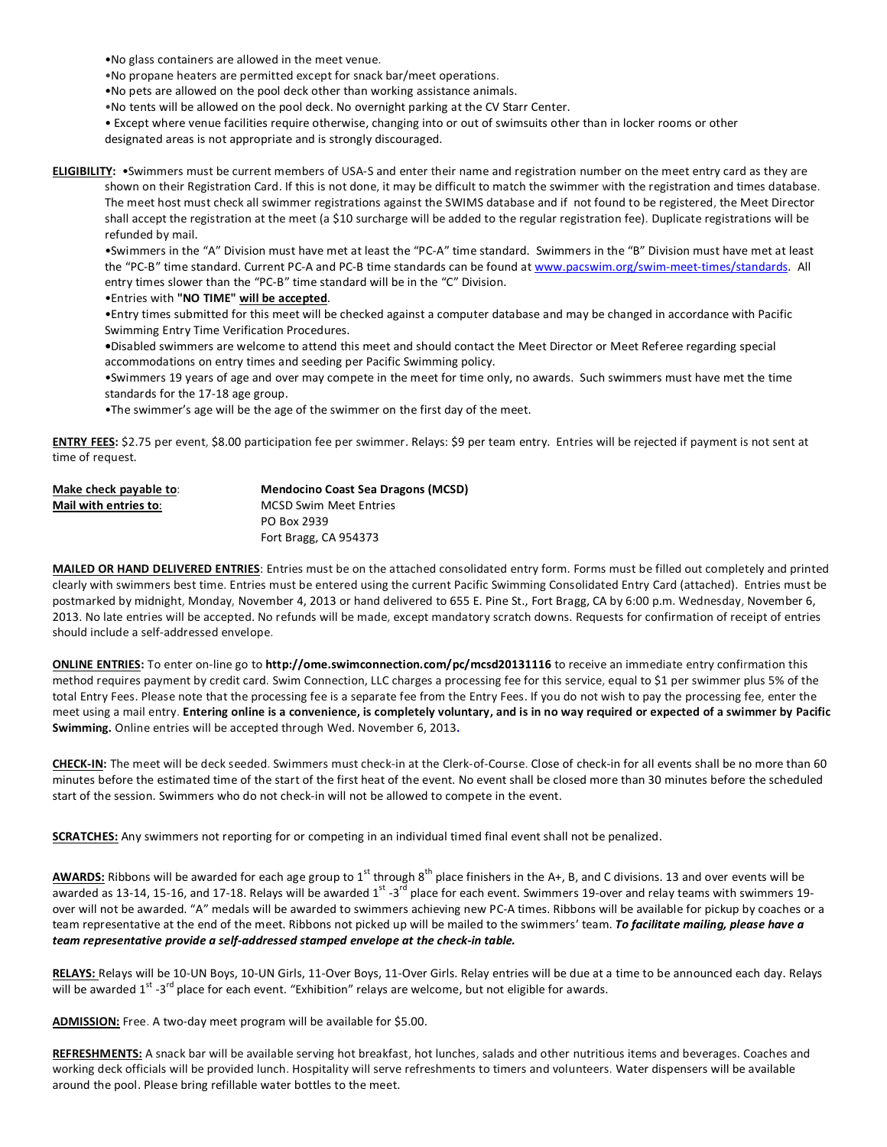•No glass containers are allowed in the meet venue.

•No propane heaters are permitted except for snack bar/meet operations.

•No pets are allowed on the pool deck other than working assistance animals.

•No tents will be allowed on the pool deck. No overnight parking at the CV Starr Center.

• Except where venue facilities require otherwise, changing into or out of swimsuits other than in locker rooms or other

designated areas is not appropriate and is strongly discouraged.

**ELIGIBILITY:** •Swimmers must be current members of USA-S and enter their name and registration number on the meet entry card as they are shown on their Registration Card. If this is not done, it may be difficult to match the swimmer with the registration and times database. The meet host must check all swimmer registrations against the SWIMS database and if not found to be registered, the Meet Director shall accept the registration at the meet (a \$10 surcharge will be added to the regular registration fee). Duplicate registrations will be refunded by mail.

•Swimmers in the "A" Division must have met at least the "PC-A" time standard. Swimmers in the "B" Division must have met at least the "PC-B" time standard. Current PC-A and PC-B time standards can be found a[t www.pacswim.org/swim-meet-times/standards.](http://www.pacswim.org/swim-meet-times/standards) All entry times slower than the "PC-B" time standard will be in the "C" Division.

•Entries with **"NO TIME" will be accepted**.

•Entry times submitted for this meet will be checked against a computer database and may be changed in accordance with Pacific Swimming Entry Time Verification Procedures.

**•**Disabled swimmers are welcome to attend this meet and should contact the Meet Director or Meet Referee regarding special accommodations on entry times and seeding per Pacific Swimming policy.

•Swimmers 19 years of age and over may compete in the meet for time only, no awards. Such swimmers must have met the time standards for the 17-18 age group.

•The swimmer's age will be the age of the swimmer on the first day of the meet.

**ENTRY FEES:** \$2.75 per event, \$8.00 participation fee per swimmer. Relays: \$9 per team entry. Entries will be rejected if payment is not sent at time of request.

| Make check payable to: | <b>Mendocino Coast Sea Dragons (MCSD)</b> |
|------------------------|-------------------------------------------|
| Mail with entries to:  | <b>MCSD Swim Meet Entries</b>             |
|                        | PO Box 2939                               |
|                        | Fort Bragg, CA 954373                     |

**MAILED OR HAND DELIVERED ENTRIES**: Entries must be on the attached consolidated entry form. Forms must be filled out completely and printed clearly with swimmers best time. Entries must be entered using the current Pacific Swimming Consolidated Entry Card (attached). Entries must be postmarked by midnight, Monday, November 4, 2013 or hand delivered to 655 E. Pine St., Fort Bragg, CA by 6:00 p.m. Wednesday, November 6, 2013. No late entries will be accepted. No refunds will be made, except mandatory scratch downs. Requests for confirmation of receipt of entries should include a self-addressed envelope.

**ONLINE ENTRIES:** To enter on-line go to **http://ome.swimconnection.com/pc/mcsd20131116** to receive an immediate entry confirmation this method requires payment by credit card. Swim Connection, LLC charges a processing fee for this service, equal to \$1 per swimmer plus 5% of the total Entry Fees. Please note that the processing fee is a separate fee from the Entry Fees. If you do not wish to pay the processing fee, enter the meet using a mail entry. **Entering online is a convenience, is completely voluntary, and is in no way required or expected of a swimmer by Pacific Swimming.** Online entries will be accepted through Wed. November 6, 2013**.**

**CHECK-IN:** The meet will be deck seeded. Swimmers must check-in at the Clerk-of-Course. Close of check-in for all events shall be no more than 60 minutes before the estimated time of the start of the first heat of the event. No event shall be closed more than 30 minutes before the scheduled start of the session. Swimmers who do not check-in will not be allowed to compete in the event.

**SCRATCHES:** Any swimmers not reporting for or competing in an individual timed final event shall not be penalized.

AWARDS: Ribbons will be awarded for each age group to 1<sup>st</sup> through 8<sup>th</sup> place finishers in the A+, B, and C divisions. 13 and over events will be awarded as 13-14, 15-16, and 17-18. Relays will be awarded  $1^{st}$  -3<sup>rd</sup> place for each event. Swimmers 19-over and relay teams with swimmers 19over will not be awarded. "A" medals will be awarded to swimmers achieving new PC-A times. Ribbons will be available for pickup by coaches or a team representative at the end of the meet. Ribbons not picked up will be mailed to the swimmers' team. *To facilitate mailing, please have a team representative provide a self-addressed stamped envelope at the check-in table.*

**RELAYS:** Relays will be 10-UN Boys, 10-UN Girls, 11-Over Boys, 11-Over Girls. Relay entries will be due at a time to be announced each day. Relays will be awarded 1<sup>st</sup> -3<sup>rd</sup> place for each event. "Exhibition" relays are welcome, but not eligible for awards.

**ADMISSION:** Free. A two-day meet program will be available for \$5.00.

**REFRESHMENTS:** A snack bar will be available serving hot breakfast, hot lunches, salads and other nutritious items and beverages. Coaches and working deck officials will be provided lunch. Hospitality will serve refreshments to timers and volunteers. Water dispensers will be available around the pool. Please bring refillable water bottles to the meet.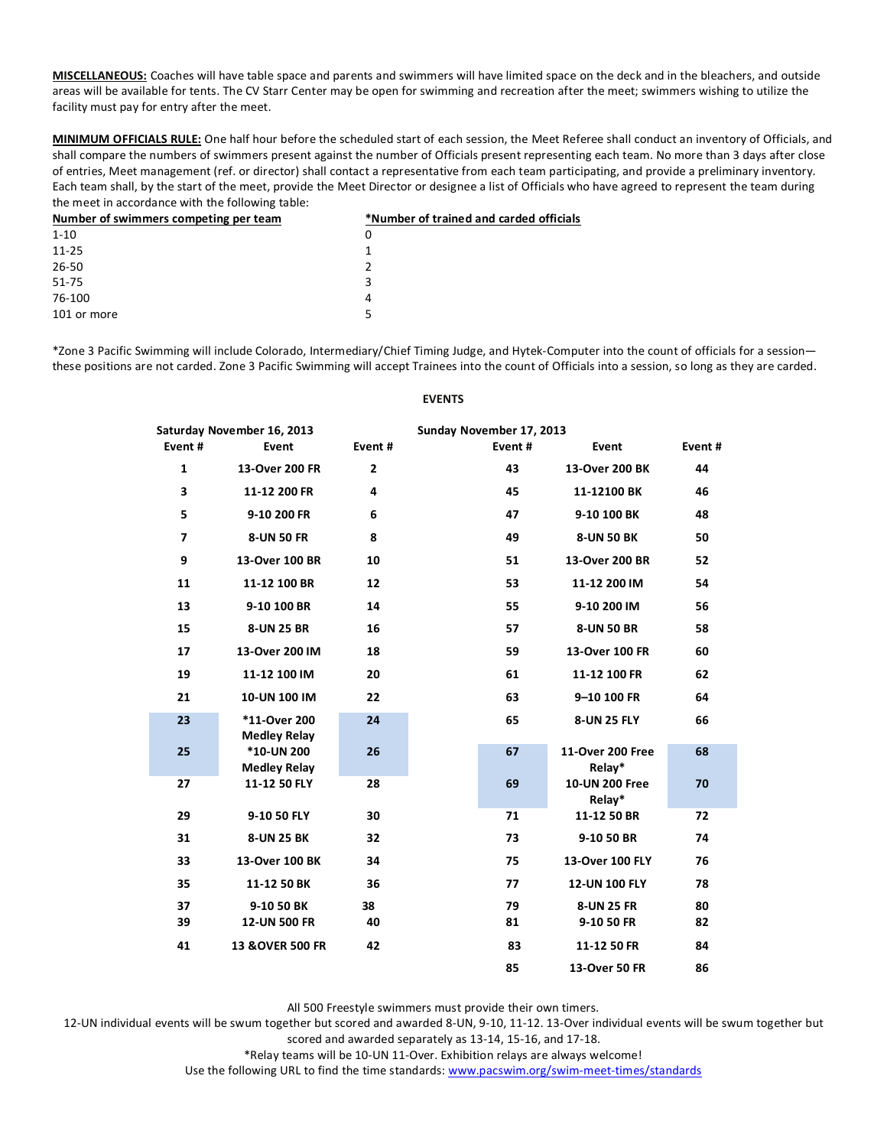**MISCELLANEOUS:** Coaches will have table space and parents and swimmers will have limited space on the deck and in the bleachers, and outside areas will be available for tents. The CV Starr Center may be open for swimming and recreation after the meet; swimmers wishing to utilize the facility must pay for entry after the meet.

**MINIMUM OFFICIALS RULE:** One half hour before the scheduled start of each session, the Meet Referee shall conduct an inventory of Officials, and shall compare the numbers of swimmers present against the number of Officials present representing each team. No more than 3 days after close of entries, Meet management (ref. or director) shall contact a representative from each team participating, and provide a preliminary inventory. Each team shall, by the start of the meet, provide the Meet Director or designee a list of Officials who have agreed to represent the team during the meet in accordance with the following table:

| Number of swimmers competing per team | *Number of trained and carded officials |  |  |  |
|---------------------------------------|-----------------------------------------|--|--|--|
| $1 - 10$                              | 0                                       |  |  |  |
| $11 - 25$                             |                                         |  |  |  |
| 26-50                                 |                                         |  |  |  |
| 51-75                                 | 3                                       |  |  |  |
| 76-100                                | 4                                       |  |  |  |
| 101 or more                           | 5                                       |  |  |  |
|                                       |                                         |  |  |  |

\*Zone 3 Pacific Swimming will include Colorado, Intermediary/Chief Timing Judge, and Hytek-Computer into the count of officials for a session these positions are not carded. Zone 3 Pacific Swimming will accept Trainees into the count of Officials into a session, so long as they are carded.

|                | Saturday November 16, 2013               |                | Sunday November 17, 2013 |                            |          |
|----------------|------------------------------------------|----------------|--------------------------|----------------------------|----------|
| Event#         | Event                                    | Event#         | Event#                   | Event                      | Event#   |
| $\mathbf{1}$   | 13-Over 200 FR                           | $\overline{2}$ | 43                       | 13-Over 200 BK             | 44       |
| 3              | 11-12 200 FR                             | 4              | 45                       | 11-12100 BK                | 46       |
| 5              | 9-10 200 FR                              | 6              | 47                       | 9-10 100 BK                | 48       |
| $\overline{7}$ | 8-UN 50 FR                               | 8              | 49                       | <b>8-UN 50 BK</b>          | 50       |
| 9              | 13-Over 100 BR                           | 10             | 51                       | 13-Over 200 BR             | 52       |
| 11             | 11-12 100 BR                             | 12             | 53                       | 11-12 200 IM               | 54       |
| 13             | 9-10 100 BR                              | 14             | 55                       | 9-10 200 IM                | 56       |
| 15             | 8-UN 25 BR                               | 16             | 57                       | <b>8-UN 50 BR</b>          | 58       |
| 17             | 13-Over 200 IM                           | 18             | 59                       | 13-Over 100 FR             | 60       |
| 19             | 11-12 100 IM                             | 20             | 61                       | 11-12 100 FR               | 62       |
| 21             | 10-UN 100 IM                             | 22             | 63                       | 9-10 100 FR                | 64       |
| 23             | *11-Over 200<br><b>Medley Relay</b>      | 24             | 65                       | 8-UN 25 FLY                | 66       |
| 25             | <b>*10-UN 200</b><br><b>Medley Relay</b> | 26             | 67                       | 11-Over 200 Free<br>Relay* | 68       |
| 27             | 11-12 50 FLY                             | 28             | 69                       | 10-UN 200 Free<br>Relay*   | 70       |
| 29             | 9-10 50 FLY                              | 30             | 71                       | 11-12 50 BR                | 72       |
| 31             | <b>8-UN 25 BK</b>                        | 32             | 73                       | 9-10 50 BR                 | 74       |
| 33             | 13-Over 100 BK                           | 34             | 75                       | 13-Over 100 FLY            | 76       |
| 35             | 11-12 50 BK                              | 36             | 77                       | 12-UN 100 FLY              | 78       |
| 37<br>39       | 9-10 50 BK<br><b>12-UN 500 FR</b>        | 38<br>40       | 79<br>81                 | 8-UN 25 FR<br>9-10 50 FR   | 80<br>82 |
| 41             | <b>13 &amp; OVER 500 FR</b>              | 42             | 83                       | 11-12 50 FR                | 84       |
|                |                                          |                | 85                       | 13-Over 50 FR              | 86       |

## **EVENTS**

All 500 Freestyle swimmers must provide their own timers.

12-UN individual events will be swum together but scored and awarded 8-UN, 9-10, 11-12. 13-Over individual events will be swum together but scored and awarded separately as 13-14, 15-16, and 17-18.

\*Relay teams will be 10-UN 11-Over. Exhibition relays are always welcome!

Use the following URL to find the time standards[: www.pacswim.org/swim-meet-times/standards](http://www.pacswim.org/swim-meet-times/standards)